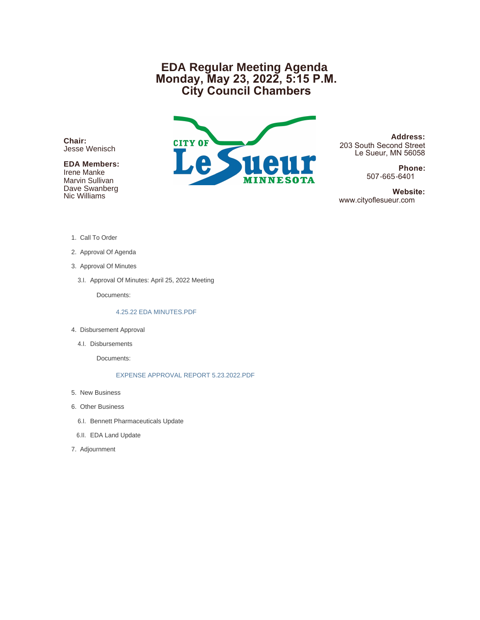## **EDA Regular Meeting Agenda Monday, May 23, 2022, 5:15 P.M. City Council Chambers**

**Chair:** Jesse Wenisch

### **EDA Members:**

Irene Manke Marvin Sullivan Dave Swanberg Nic Williams



**Address:** 203 South Second Street Le Sueur, MN 56058

> **Phone:** 507-665-6401

 **Website:** www.cityoflesueur.com

- 1. Call To Order
- 2. Approval Of Agenda
- 3. Approval Of Minutes
	- 3.I. Approval Of Minutes: April 25, 2022 Meeting

Documents:

#### 4.25.22 EDA MINUTES.PDF

- 4. Disbursement Approval
	- 4.I. Disbursements

Documents:

EXPENSE APPROVAL REPORT 5.23.2022.PDF

- 5. New Business
- 6. Other Business
	- 6.I. Bennett Pharmaceuticals Update
- 6.II. EDA Land Update
- 7. Adjournment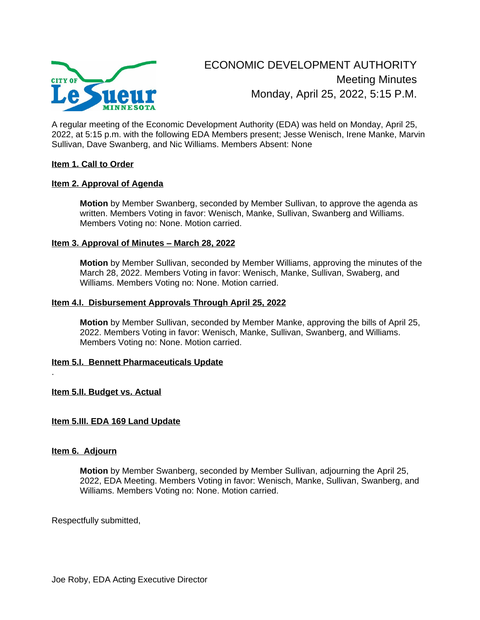

A regular meeting of the Economic Development Authority (EDA) was held on Monday, April 25, 2022, at 5:15 p.m. with the following EDA Members present; Jesse Wenisch, Irene Manke, Marvin Sullivan, Dave Swanberg, and Nic Williams. Members Absent: None

#### **Item 1. Call to Order**

#### **Item 2. Approval of Agenda**

**Motion** by Member Swanberg, seconded by Member Sullivan, to approve the agenda as written. Members Voting in favor: Wenisch, Manke, Sullivan, Swanberg and Williams. Members Voting no: None. Motion carried.

#### **Item 3. Approval of Minutes – March 28, 2022**

**Motion** by Member Sullivan, seconded by Member Williams, approving the minutes of the March 28, 2022. Members Voting in favor: Wenisch, Manke, Sullivan, Swaberg, and Williams. Members Voting no: None. Motion carried.

#### **Item 4.I. Disbursement Approvals Through April 25, 2022**

**Motion** by Member Sullivan, seconded by Member Manke, approving the bills of April 25, 2022. Members Voting in favor: Wenisch, Manke, Sullivan, Swanberg, and Williams. Members Voting no: None. Motion carried.

#### **Item 5.I. Bennett Pharmaceuticals Update**

#### **Item 5.II. Budget vs. Actual**

#### **Item 5.III. EDA 169 Land Update**

#### **Item 6. Adjourn**

.

**Motion** by Member Swanberg, seconded by Member Sullivan, adjourning the April 25, 2022, EDA Meeting. Members Voting in favor: Wenisch, Manke, Sullivan, Swanberg, and Williams. Members Voting no: None. Motion carried.

Respectfully submitted,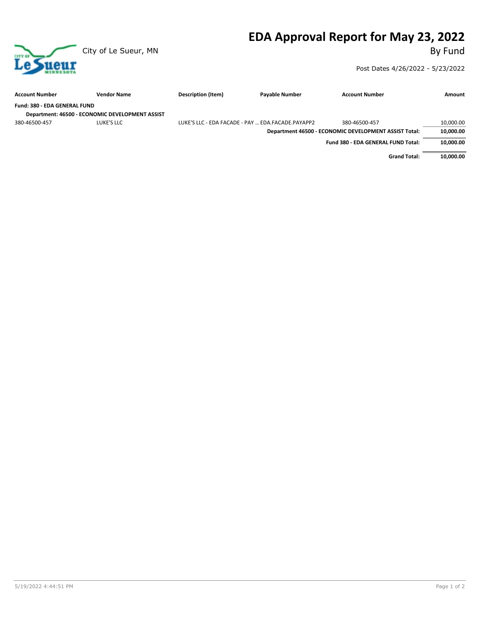# **EDA Approval Report for May 23, 2022**



Post Dates 4/26/2022 - 5/23/2022

| <b>Account Number</b>        | <b>Vendor Name</b>                              | Description (Item)                                | <b>Payable Number</b> | <b>Account Number</b>                                 | Amount    |
|------------------------------|-------------------------------------------------|---------------------------------------------------|-----------------------|-------------------------------------------------------|-----------|
| Fund: 380 - EDA GENERAL FUND |                                                 |                                                   |                       |                                                       |           |
|                              | Department: 46500 - ECONOMIC DEVELOPMENT ASSIST |                                                   |                       |                                                       |           |
| 380-46500-457                | LUKE'S LLC                                      | LUKE'S LLC - EDA FACADE - PAY  EDA.FACADE.PAYAPP2 |                       | 380-46500-457                                         | 10,000.00 |
|                              |                                                 |                                                   |                       | Department 46500 - ECONOMIC DEVELOPMENT ASSIST Total: | 10,000.00 |
|                              |                                                 |                                                   |                       | Fund 380 - EDA GENERAL FUND Total:                    | 10,000.00 |
|                              |                                                 |                                                   |                       | <b>Grand Total:</b>                                   | 10,000.00 |